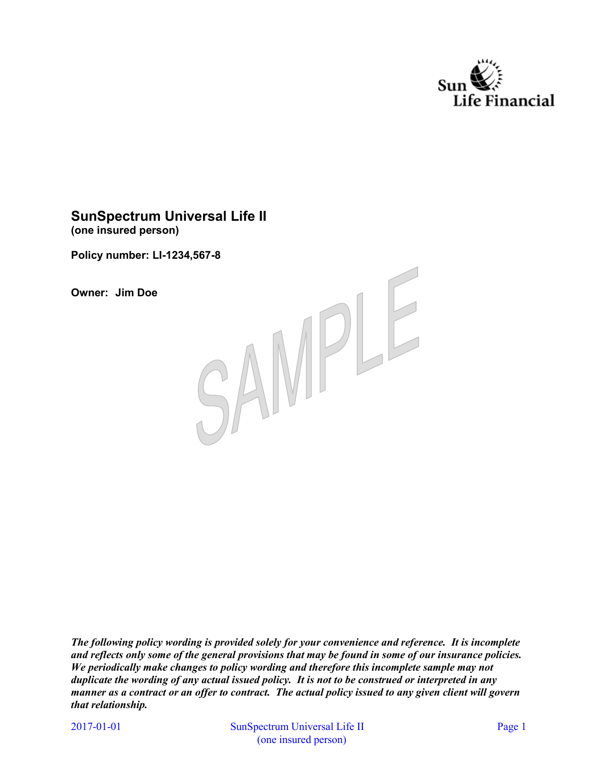

# **SunSpectrum Universal Life II (one insured person)**

**Policy number: LI-1234,567-8** 

**Owner: Jim Doe** 



*The following policy wording is provided solely for your convenience and reference. It is incomplete and reflects only some of the general provisions that may be found in some of our insurance policies. We periodically make changes to policy wording and therefore this incomplete sample may not duplicate the wording of any actual issued policy. It is not to be construed or interpreted in any manner as a contract or an offer to contract. The actual policy issued to any given client will govern that relationship.* 

2017-01-01

SunSpectrum Universal Life II Page 1 (one insured person)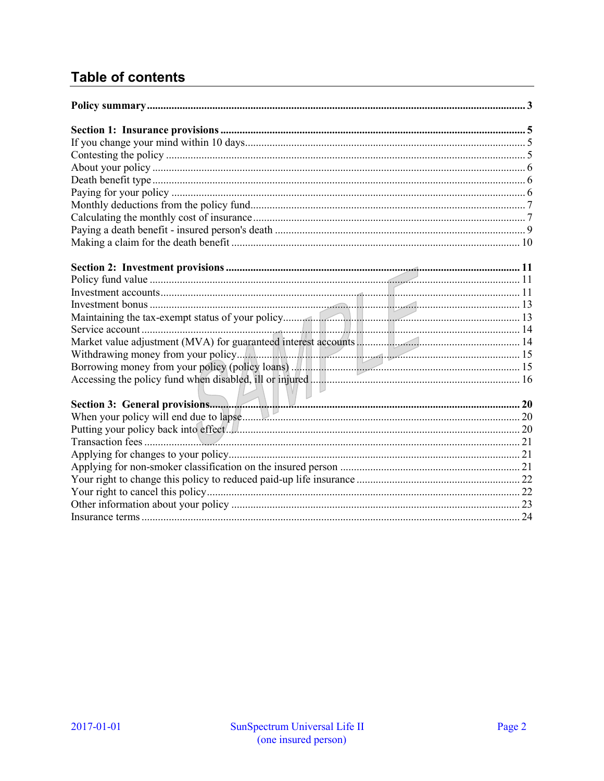# **Table of contents**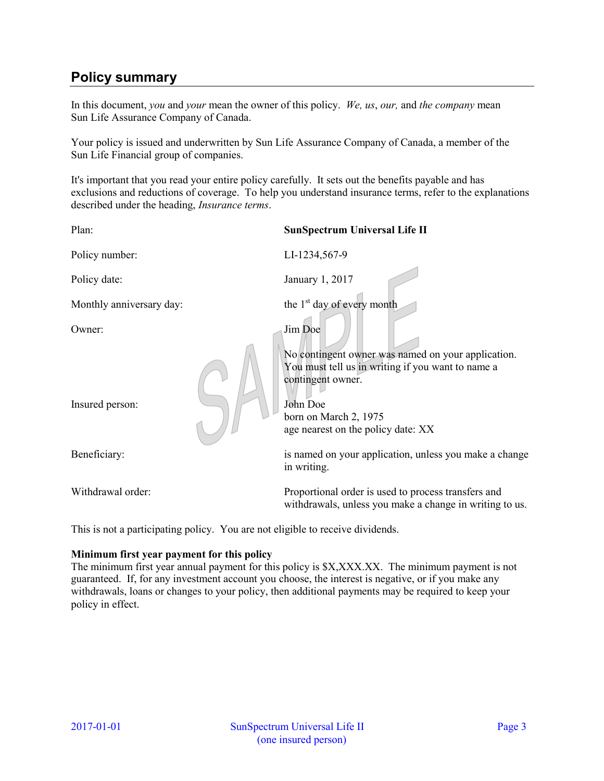# <span id="page-2-0"></span>**Policy summary**

In this document, *you* and *your* mean the owner of this policy. *We, us*, *our,* and *the company* mean Sun Life Assurance Company of Canada.

Your policy is issued and underwritten by Sun Life Assurance Company of Canada, a member of the Sun Life Financial group of companies.

It's important that you read your entire policy carefully. It sets out the benefits payable and has exclusions and reductions of coverage. To help you understand insurance terms, refer to the explanations described under the heading, *Insurance terms*.

| Plan:                                                                          | <b>SunSpectrum Universal Life II</b>                                                                                                     |  |  |
|--------------------------------------------------------------------------------|------------------------------------------------------------------------------------------------------------------------------------------|--|--|
| Policy number:                                                                 | LI-1234,567-9                                                                                                                            |  |  |
| Policy date:                                                                   | January 1, 2017                                                                                                                          |  |  |
| Monthly anniversary day:                                                       | the 1 <sup>st</sup> day of every month                                                                                                   |  |  |
| Owner:                                                                         | Jim Doe                                                                                                                                  |  |  |
| Insured person:                                                                | No contingent owner was named on your application.<br>You must tell us in writing if you want to name a<br>contingent owner.<br>John Doe |  |  |
|                                                                                | born on March 2, 1975<br>age nearest on the policy date: XX                                                                              |  |  |
| Beneficiary:                                                                   | is named on your application, unless you make a change<br>in writing.                                                                    |  |  |
| Withdrawal order:                                                              | Proportional order is used to process transfers and<br>withdrawals, unless you make a change in writing to us.                           |  |  |
| This is not a participating policy. You are not eligible to receive dividends. |                                                                                                                                          |  |  |

### **Minimum first year payment for this policy**

The minimum first year annual payment for this policy is \$X,XXX.XX. The minimum payment is not guaranteed. If, for any investment account you choose, the interest is negative, or if you make any withdrawals, loans or changes to your policy, then additional payments may be required to keep your policy in effect.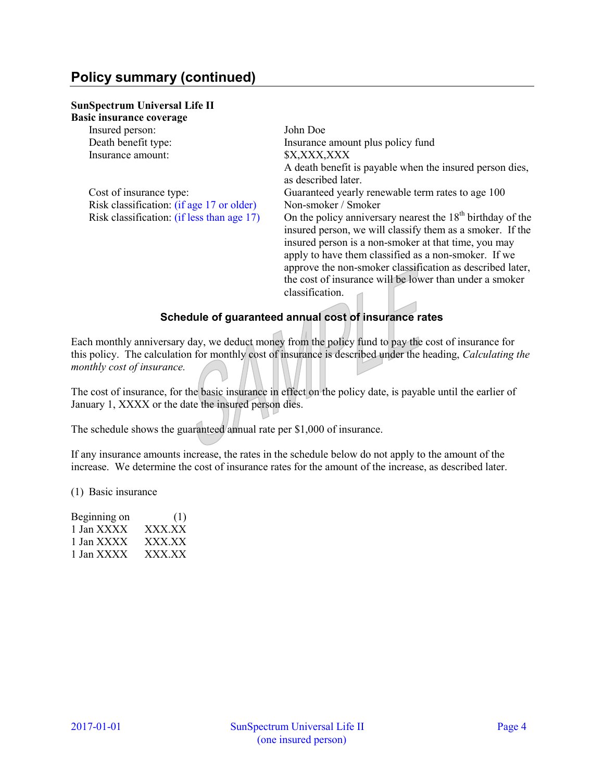# **Policy summary (continued)**

#### **SunSpectrum Universal Life II Basic insurance coverage**

| ASIU IIISUI AIIUU UUVUI ALU                |                                                                                                                           |
|--------------------------------------------|---------------------------------------------------------------------------------------------------------------------------|
| Insured person:                            | John Doe                                                                                                                  |
| Death benefit type:                        | Insurance amount plus policy fund                                                                                         |
| Insurance amount:                          | \$X,XXX,XXX                                                                                                               |
|                                            | A death benefit is payable when the insured person dies,                                                                  |
|                                            | as described later.                                                                                                       |
| Cost of insurance type:                    | Guaranteed yearly renewable term rates to age 100                                                                         |
| Risk classification: (if age 17 or older)  | Non-smoker / Smoker                                                                                                       |
| Risk classification: (if less than age 17) | On the policy anniversary nearest the $18th$ birthday of the<br>insured person, we will classify them as a smoker. If the |
|                                            | insured person is a non-smoker at that time, you may                                                                      |
|                                            | apply to have them classified as a non-smoker. If we                                                                      |
|                                            | approve the non-smoker classification as described later,                                                                 |
|                                            | the cost of insurance will be lower than under a smoker                                                                   |
|                                            | classification.                                                                                                           |
|                                            |                                                                                                                           |

## **Schedule of guaranteed annual cost of insurance rates**

Each monthly anniversary day, we deduct money from the policy fund to pay the cost of insurance for this policy. The calculation for monthly cost of insurance is described under the heading, *Calculating the monthly cost of insurance.*

The cost of insurance, for the basic insurance in effect on the policy date, is payable until the earlier of January 1, XXXX or the date the insured person dies.

The schedule shows the guaranteed annual rate per \$1,000 of insurance.

If any insurance amounts increase, the rates in the schedule below do not apply to the amount of the increase. We determine the cost of insurance rates for the amount of the increase, as described later.

(1) Basic insurance

| Beginning on | (1)    |
|--------------|--------|
| 1 Jan XXXX   | XXX.XX |
| 1 Jan XXXX   | XXX.XX |
| 1 Jan XXXX   | XXX.XX |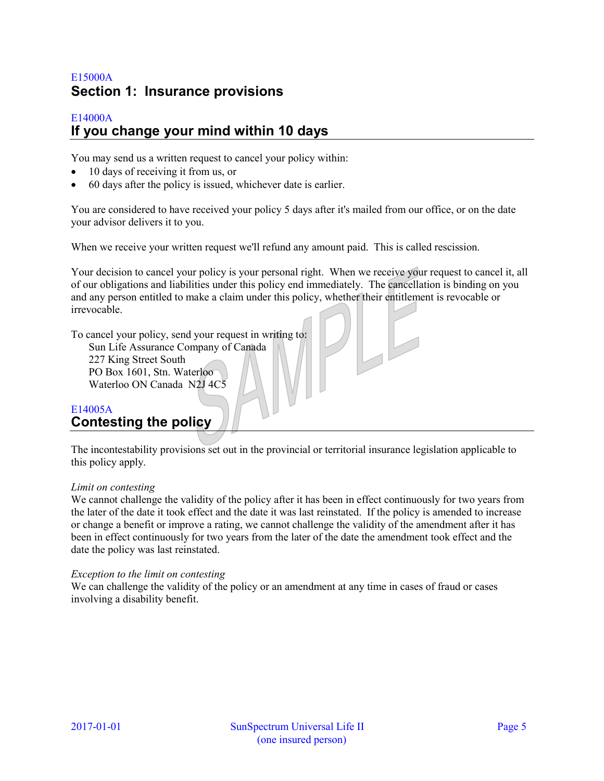# <span id="page-4-0"></span>E15000A **Section 1: Insurance provisions**

## <span id="page-4-1"></span>E14000A **If you change your mind within 10 days**

You may send us a written request to cancel your policy within:

- 10 days of receiving it from us, or
- 60 days after the policy is issued, whichever date is earlier.

You are considered to have received your policy 5 days after it's mailed from our office, or on the date your advisor delivers it to you.

When we receive your written request we'll refund any amount paid. This is called rescission.

Your decision to cancel your policy is your personal right. When we receive your request to cancel it, all of our obligations and liabilities under this policy end immediately. The cancellation is binding on you and any person entitled to make a claim under this policy, whether their entitlement is revocable or irrevocable.

To cancel your policy, send your request in writing to: Sun Life Assurance Company of Canada 227 King Street South PO Box 1601, Stn. Waterloo Waterloo ON Canada N2J 4C5

# <span id="page-4-2"></span>E14005A **Contesting the policy**

The incontestability provisions set out in the provincial or territorial insurance legislation applicable to this policy apply.

### *Limit on contesting*

We cannot challenge the validity of the policy after it has been in effect continuously for two years from the later of the date it took effect and the date it was last reinstated. If the policy is amended to increase or change a benefit or improve a rating, we cannot challenge the validity of the amendment after it has been in effect continuously for two years from the later of the date the amendment took effect and the date the policy was last reinstated.

#### *Exception to the limit on contesting*

We can challenge the validity of the policy or an amendment at any time in cases of fraud or cases involving a disability benefit.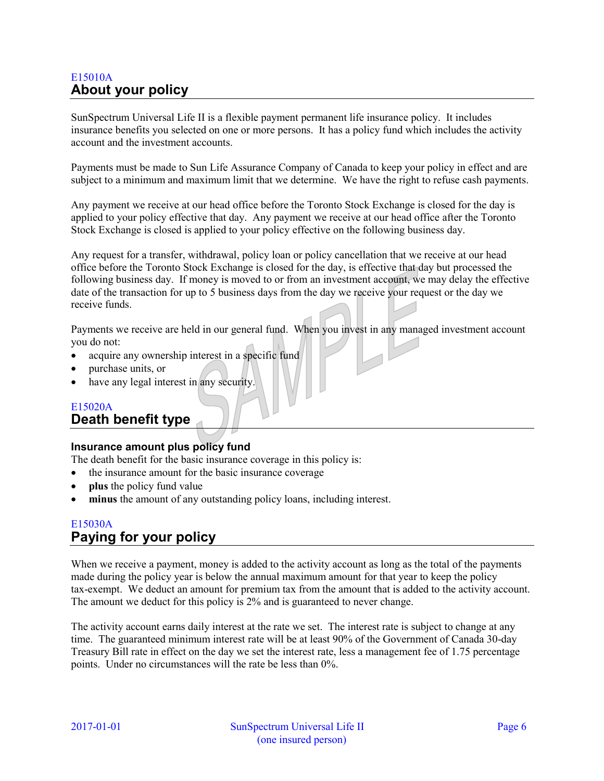# <span id="page-5-0"></span>E15010A **About your policy**

SunSpectrum Universal Life II is a flexible payment permanent life insurance policy. It includes insurance benefits you selected on one or more persons. It has a policy fund which includes the activity account and the investment accounts.

Payments must be made to Sun Life Assurance Company of Canada to keep your policy in effect and are subject to a minimum and maximum limit that we determine. We have the right to refuse cash payments.

Any payment we receive at our head office before the Toronto Stock Exchange is closed for the day is applied to your policy effective that day. Any payment we receive at our head office after the Toronto Stock Exchange is closed is applied to your policy effective on the following business day.

Any request for a transfer, withdrawal, policy loan or policy cancellation that we receive at our head office before the Toronto Stock Exchange is closed for the day, is effective that day but processed the following business day. If money is moved to or from an investment account, we may delay the effective date of the transaction for up to 5 business days from the day we receive your request or the day we receive funds.

Payments we receive are held in our general fund. When you invest in any managed investment account you do not:

- acquire any ownership interest in a specific fund
- purchase units, or
- have any legal interest in any security.

# E15020A

## <span id="page-5-1"></span>**Death benefit type**

### **Insurance amount plus policy fund**

The death benefit for the basic insurance coverage in this policy is:

- the insurance amount for the basic insurance coverage
- **plus** the policy fund value
- **minus** the amount of any outstanding policy loans, including interest.

## <span id="page-5-2"></span>E15030A **Paying for your policy**

When we receive a payment, money is added to the activity account as long as the total of the payments made during the policy year is below the annual maximum amount for that year to keep the policy tax-exempt. We deduct an amount for premium tax from the amount that is added to the activity account. The amount we deduct for this policy is 2% and is guaranteed to never change.

The activity account earns daily interest at the rate we set. The interest rate is subject to change at any time. The guaranteed minimum interest rate will be at least 90% of the Government of Canada 30-day Treasury Bill rate in effect on the day we set the interest rate, less a management fee of 1.75 percentage points. Under no circumstances will the rate be less than 0%.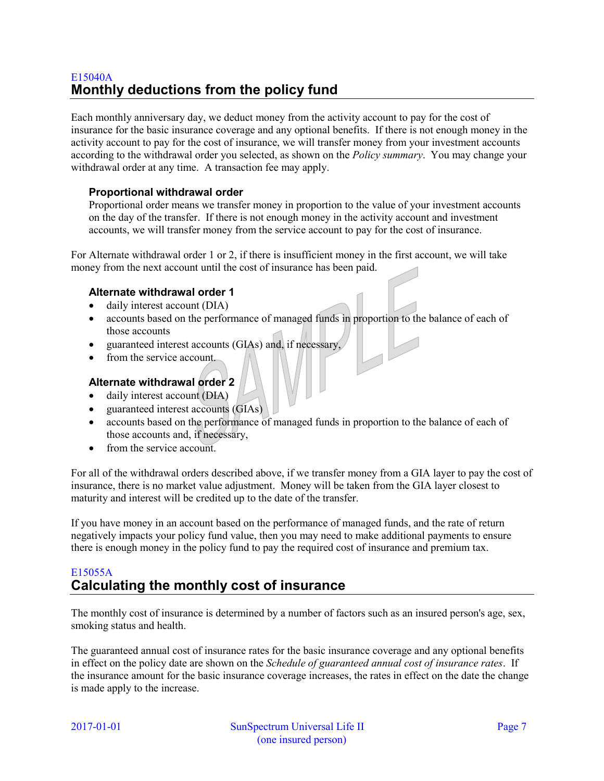# <span id="page-6-0"></span>E15040A **Monthly deductions from the policy fund**

Each monthly anniversary day, we deduct money from the activity account to pay for the cost of insurance for the basic insurance coverage and any optional benefits. If there is not enough money in the activity account to pay for the cost of insurance, we will transfer money from your investment accounts according to the withdrawal order you selected, as shown on the *Policy summary*. You may change your withdrawal order at any time. A transaction fee may apply.

## **Proportional withdrawal order**

Proportional order means we transfer money in proportion to the value of your investment accounts on the day of the transfer. If there is not enough money in the activity account and investment accounts, we will transfer money from the service account to pay for the cost of insurance.

For Alternate withdrawal order 1 or 2, if there is insufficient money in the first account, we will take money from the next account until the cost of insurance has been paid.

## **Alternate withdrawal order 1**

- daily interest account (DIA)
- accounts based on the performance of managed funds in proportion to the balance of each of those accounts
- guaranteed interest accounts (GIAs) and, if necessary,
- from the service account.

## **Alternate withdrawal order 2**

- daily interest account (DIA)
- guaranteed interest accounts (GIAs)
- accounts based on the performance of managed funds in proportion to the balance of each of those accounts and, if necessary,
- from the service account.

For all of the withdrawal orders described above, if we transfer money from a GIA layer to pay the cost of insurance, there is no market value adjustment. Money will be taken from the GIA layer closest to maturity and interest will be credited up to the date of the transfer.

If you have money in an account based on the performance of managed funds, and the rate of return negatively impacts your policy fund value, then you may need to make additional payments to ensure there is enough money in the policy fund to pay the required cost of insurance and premium tax.

# <span id="page-6-1"></span>E15055A **Calculating the monthly cost of insurance**

The monthly cost of insurance is determined by a number of factors such as an insured person's age, sex, smoking status and health.

The guaranteed annual cost of insurance rates for the basic insurance coverage and any optional benefits in effect on the policy date are shown on the *Schedule of guaranteed annual cost of insurance rates*. If the insurance amount for the basic insurance coverage increases, the rates in effect on the date the change is made apply to the increase.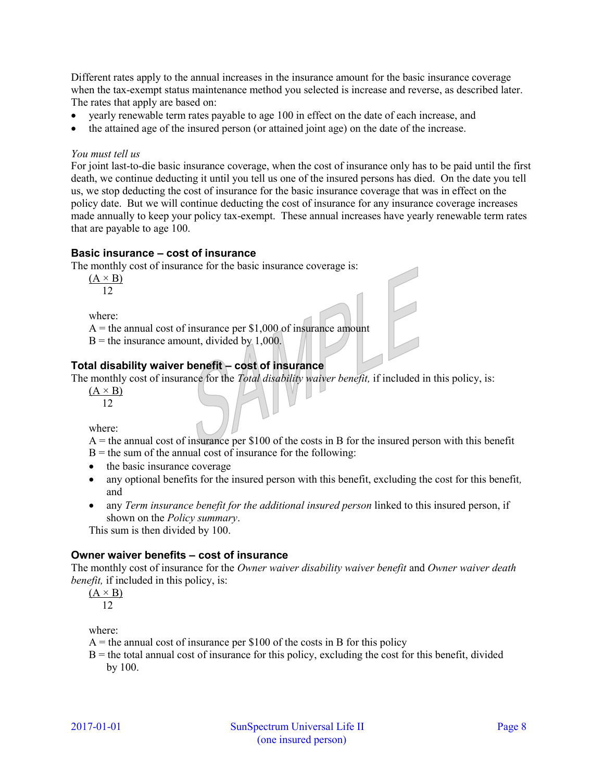Different rates apply to the annual increases in the insurance amount for the basic insurance coverage when the tax-exempt status maintenance method you selected is increase and reverse, as described later. The rates that apply are based on:

- yearly renewable term rates payable to age 100 in effect on the date of each increase, and
- the attained age of the insured person (or attained joint age) on the date of the increase.

### *You must tell us*

For joint last-to-die basic insurance coverage, when the cost of insurance only has to be paid until the first death, we continue deducting it until you tell us one of the insured persons has died. On the date you tell us, we stop deducting the cost of insurance for the basic insurance coverage that was in effect on the policy date. But we will continue deducting the cost of insurance for any insurance coverage increases made annually to keep your policy tax-exempt. These annual increases have yearly renewable term rates that are payable to age 100.

### **Basic insurance – cost of insurance**

The monthly cost of insurance for the basic insurance coverage is:

 $(A \times B)$ 12

where:

 $A =$  the annual cost of insurance per \$1,000 of insurance amount

 $B =$  the insurance amount, divided by 1,000.

## **Total disability waiver benefit – cost of insurance**

The monthly cost of insurance for the *Total disability waiver benefit,* if included in this policy, is:

 $(A \times B)$ 12

where:

 $A =$  the annual cost of insurance per \$100 of the costs in B for the insured person with this benefit

 $B =$  the sum of the annual cost of insurance for the following:

- the basic insurance coverage
- any optional benefits for the insured person with this benefit, excluding the cost for this benefit*,* and
- any *Term insurance benefit for the additional insured person* linked to this insured person, if shown on the *Policy summary*.

This sum is then divided by 100.

## **Owner waiver benefits – cost of insurance**

The monthly cost of insurance for the *Owner waiver disability waiver benefit* and *Owner waiver death benefit,* if included in this policy, is:

 $(A \times B)$ 12

where:

 $A =$  the annual cost of insurance per \$100 of the costs in B for this policy

 $B =$  the total annual cost of insurance for this policy, excluding the cost for this benefit, divided by 100.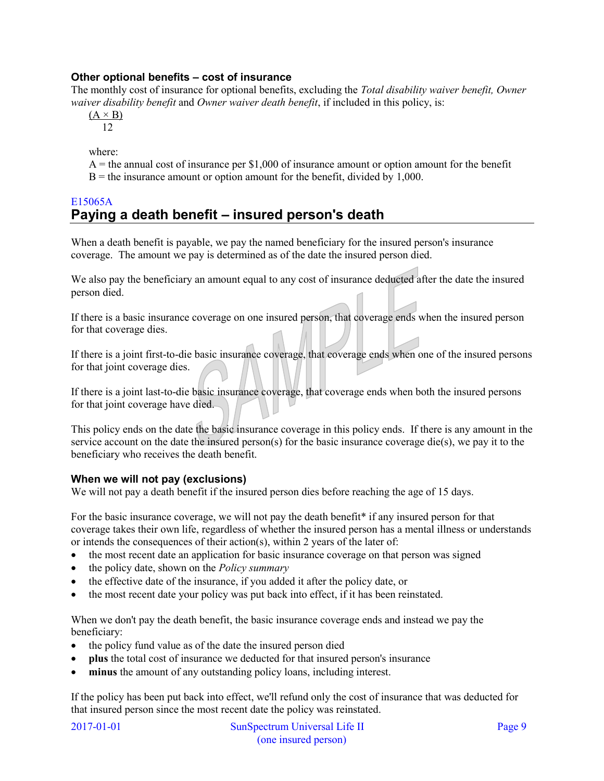## **Other optional benefits – cost of insurance**

The monthly cost of insurance for optional benefits, excluding the *Total disability waiver benefit, Owner waiver disability benefit* and *Owner waiver death benefit*, if included in this policy, is:

 $(A \times B)$ 12

where:

 $A =$  the annual cost of insurance per \$1,000 of insurance amount or option amount for the benefit  $B =$  the insurance amount or option amount for the benefit, divided by 1,000.

## <span id="page-8-0"></span>E15065A **Paying a death benefit – insured person's death**

When a death benefit is payable, we pay the named beneficiary for the insured person's insurance coverage. The amount we pay is determined as of the date the insured person died.

We also pay the beneficiary an amount equal to any cost of insurance deducted after the date the insured person died.

If there is a basic insurance coverage on one insured person, that coverage ends when the insured person for that coverage dies.

If there is a joint first-to-die basic insurance coverage, that coverage ends when one of the insured persons for that joint coverage dies.

If there is a joint last-to-die basic insurance coverage, that coverage ends when both the insured persons for that joint coverage have died.

This policy ends on the date the basic insurance coverage in this policy ends. If there is any amount in the service account on the date the insured person(s) for the basic insurance coverage die(s), we pay it to the beneficiary who receives the death benefit.

## **When we will not pay (exclusions)**

We will not pay a death benefit if the insured person dies before reaching the age of 15 days.

<span id="page-8-1"></span>For the basic insurance coverage, we will not pay the death benefit[\\*](#page-9-1) if any insured person for that coverage takes their own life, regardless of whether the insured person has a mental illness or understands or intends the consequences of their action(s), within 2 years of the later of:

- the most recent date an application for basic insurance coverage on that person was signed
- the policy date, shown on the *Policy summary*
- the effective date of the insurance, if you added it after the policy date, or
- the most recent date your policy was put back into effect, if it has been reinstated.

When we don't pay the death benefit, the basic insurance coverage ends and instead we pay the beneficiary:

- the policy fund value as of the date the insured person died
- **plus** the total cost of insurance we deducted for that insured person's insurance
- **minus** the amount of any outstanding policy loans, including interest.

If the policy has been put back into effect, we'll refund only the cost of insurance that was deducted for that insured person since the most recent date the policy was reinstated.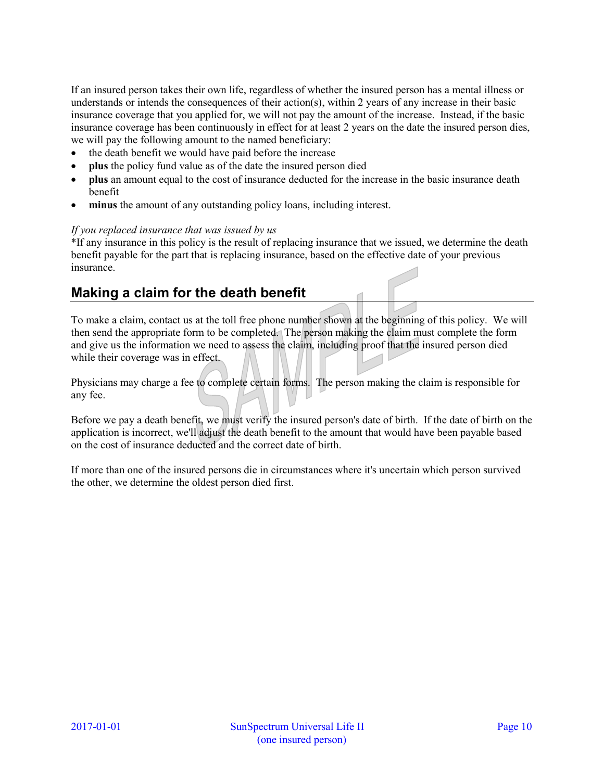If an insured person takes their own life, regardless of whether the insured person has a mental illness or understands or intends the consequences of their action(s), within 2 years of any increase in their basic insurance coverage that you applied for, we will not pay the amount of the increase. Instead, if the basic insurance coverage has been continuously in effect for at least 2 years on the date the insured person dies, we will pay the following amount to the named beneficiary:

- the death benefit we would have paid before the increase
- **plus** the policy fund value as of the date the insured person died
- **plus** an amount equal to the cost of insurance deducted for the increase in the basic insurance death benefit
- **minus** the amount of any outstanding policy loans, including interest.

### *If you replaced insurance that was issued by us*

<span id="page-9-1"></span>[\\*I](#page-8-1)f any insurance in this policy is the result of replacing insurance that we issued, we determine the death benefit payable for the part that is replacing insurance, based on the effective date of your previous insurance.

# <span id="page-9-0"></span>**Making a claim for the death benefit**

To make a claim, contact us at the toll free phone number shown at the beginning of this policy. We will then send the appropriate form to be completed. The person making the claim must complete the form and give us the information we need to assess the claim, including proof that the insured person died while their coverage was in effect.

Physicians may charge a fee to complete certain forms. The person making the claim is responsible for any fee.

Before we pay a death benefit, we must verify the insured person's date of birth. If the date of birth on the application is incorrect, we'll adjust the death benefit to the amount that would have been payable based on the cost of insurance deducted and the correct date of birth.

If more than one of the insured persons die in circumstances where it's uncertain which person survived the other, we determine the oldest person died first.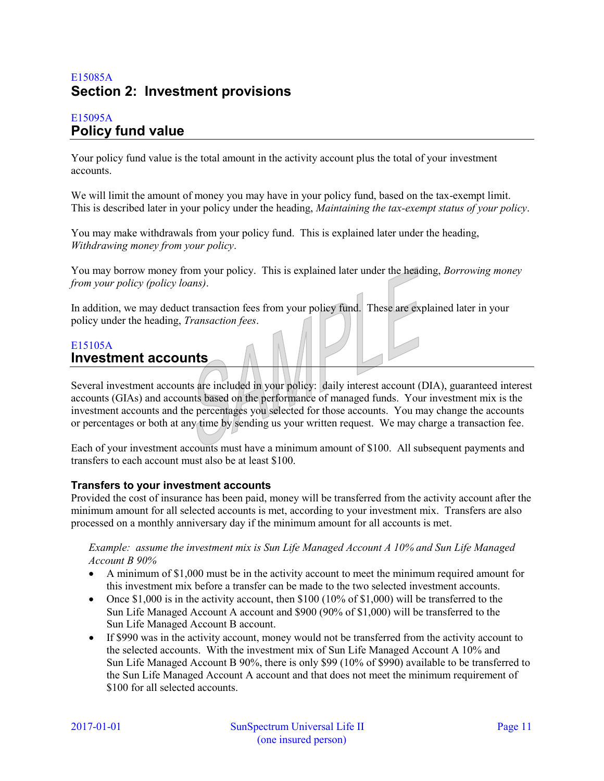# <span id="page-10-0"></span>E15085A **Section 2: Investment provisions**

## <span id="page-10-1"></span>E15095A **Policy fund value**

Your policy fund value is the total amount in the activity account plus the total of your investment accounts.

We will limit the amount of money you may have in your policy fund, based on the tax-exempt limit. This is described later in your policy under the heading, *Maintaining the tax-exempt status of your policy*.

You may make withdrawals from your policy fund. This is explained later under the heading, *Withdrawing money from your policy*.

You may borrow money from your policy. This is explained later under the heading, *Borrowing money from your policy (policy loans)*.

In addition, we may deduct transaction fees from your policy fund. These are explained later in your policy under the heading, *Transaction fees*.

## <span id="page-10-2"></span>E15105A **Investment accounts**

Several investment accounts are included in your policy: daily interest account (DIA), guaranteed interest accounts (GIAs) and accounts based on the performance of managed funds. Your investment mix is the investment accounts and the percentages you selected for those accounts. You may change the accounts or percentages or both at any time by sending us your written request. We may charge a transaction fee.

Each of your investment accounts must have a minimum amount of \$100. All subsequent payments and transfers to each account must also be at least \$100.

## **Transfers to your investment accounts**

Provided the cost of insurance has been paid, money will be transferred from the activity account after the minimum amount for all selected accounts is met, according to your investment mix. Transfers are also processed on a monthly anniversary day if the minimum amount for all accounts is met.

*Example: assume the investment mix is Sun Life Managed Account A 10% and Sun Life Managed Account B 90%* 

- A minimum of \$1,000 must be in the activity account to meet the minimum required amount for this investment mix before a transfer can be made to the two selected investment accounts.
- Once \$1,000 is in the activity account, then  $$100$  (10% of  $$1,000$ ) will be transferred to the Sun Life Managed Account A account and \$900 (90% of \$1,000) will be transferred to the Sun Life Managed Account B account.
- If \$990 was in the activity account, money would not be transferred from the activity account to the selected accounts. With the investment mix of Sun Life Managed Account A 10% and Sun Life Managed Account B 90%, there is only \$99 (10% of \$990) available to be transferred to the Sun Life Managed Account A account and that does not meet the minimum requirement of \$100 for all selected accounts.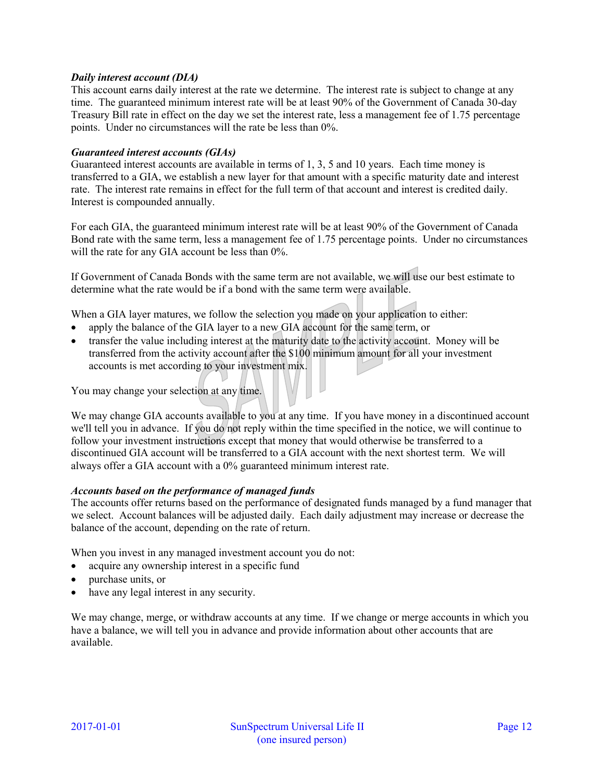### *Daily interest account (DIA)*

This account earns daily interest at the rate we determine. The interest rate is subject to change at any time. The guaranteed minimum interest rate will be at least 90% of the Government of Canada 30-day Treasury Bill rate in effect on the day we set the interest rate, less a management fee of 1.75 percentage points. Under no circumstances will the rate be less than 0%.

### *Guaranteed interest accounts (GIAs)*

Guaranteed interest accounts are available in terms of 1, 3, 5 and 10 years. Each time money is transferred to a GIA, we establish a new layer for that amount with a specific maturity date and interest rate. The interest rate remains in effect for the full term of that account and interest is credited daily. Interest is compounded annually.

For each GIA, the guaranteed minimum interest rate will be at least 90% of the Government of Canada Bond rate with the same term, less a management fee of 1.75 percentage points. Under no circumstances will the rate for any GIA account be less than  $0\%$ .

If Government of Canada Bonds with the same term are not available, we will use our best estimate to determine what the rate would be if a bond with the same term were available.

When a GIA layer matures, we follow the selection you made on your application to either:

- apply the balance of the GIA layer to a new GIA account for the same term, or
- transfer the value including interest at the maturity date to the activity account. Money will be transferred from the activity account after the \$100 minimum amount for all your investment accounts is met according to your investment mix.

You may change your selection at any time.

We may change GIA accounts available to you at any time. If you have money in a discontinued account we'll tell you in advance. If you do not reply within the time specified in the notice, we will continue to follow your investment instructions except that money that would otherwise be transferred to a discontinued GIA account will be transferred to a GIA account with the next shortest term. We will always offer a GIA account with a 0% guaranteed minimum interest rate.

#### *Accounts based on the performance of managed funds*

The accounts offer returns based on the performance of designated funds managed by a fund manager that we select. Account balances will be adjusted daily. Each daily adjustment may increase or decrease the balance of the account, depending on the rate of return.

When you invest in any managed investment account you do not:

- acquire any ownership interest in a specific fund
- purchase units, or
- have any legal interest in any security.

We may change, merge, or withdraw accounts at any time. If we change or merge accounts in which you have a balance, we will tell you in advance and provide information about other accounts that are available.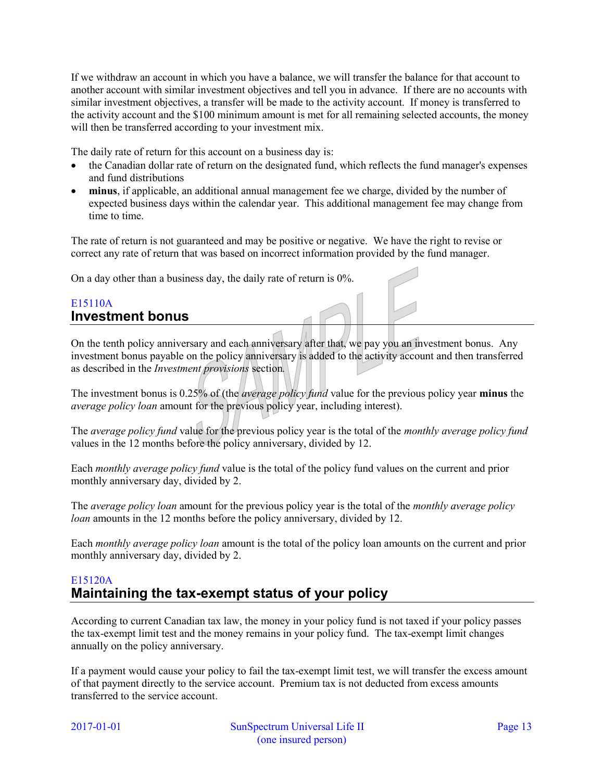If we withdraw an account in which you have a balance, we will transfer the balance for that account to another account with similar investment objectives and tell you in advance. If there are no accounts with similar investment objectives, a transfer will be made to the activity account. If money is transferred to the activity account and the \$100 minimum amount is met for all remaining selected accounts, the money will then be transferred according to your investment mix.

The daily rate of return for this account on a business day is:

- the Canadian dollar rate of return on the designated fund, which reflects the fund manager's expenses and fund distributions
- **minus**, if applicable, an additional annual management fee we charge, divided by the number of expected business days within the calendar year. This additional management fee may change from time to time.

The rate of return is not guaranteed and may be positive or negative. We have the right to revise or correct any rate of return that was based on incorrect information provided by the fund manager.

On a day other than a business day, the daily rate of return is 0%.

## <span id="page-12-0"></span>E15110A **Investment bonus**

On the tenth policy anniversary and each anniversary after that, we pay you an investment bonus. Any investment bonus payable on the policy anniversary is added to the activity account and then transferred as described in the *Investment provisions* section*.*

The investment bonus is 0.25% of (the *average policy fund* value for the previous policy year **minus** the *average policy loan* amount for the previous policy year, including interest).

The *average policy fund* value for the previous policy year is the total of the *monthly average policy fund* values in the 12 months before the policy anniversary, divided by 12.

Each *monthly average policy fund* value is the total of the policy fund values on the current and prior monthly anniversary day, divided by 2.

The *average policy loan* amount for the previous policy year is the total of the *monthly average policy loan* amounts in the 12 months before the policy anniversary, divided by 12.

Each *monthly average policy loan* amount is the total of the policy loan amounts on the current and prior monthly anniversary day, divided by 2.

## <span id="page-12-1"></span>E15120A **Maintaining the tax-exempt status of your policy**

According to current Canadian tax law, the money in your policy fund is not taxed if your policy passes the tax-exempt limit test and the money remains in your policy fund. The tax-exempt limit changes annually on the policy anniversary.

If a payment would cause your policy to fail the tax-exempt limit test, we will transfer the excess amount of that payment directly to the service account. Premium tax is not deducted from excess amounts transferred to the service account.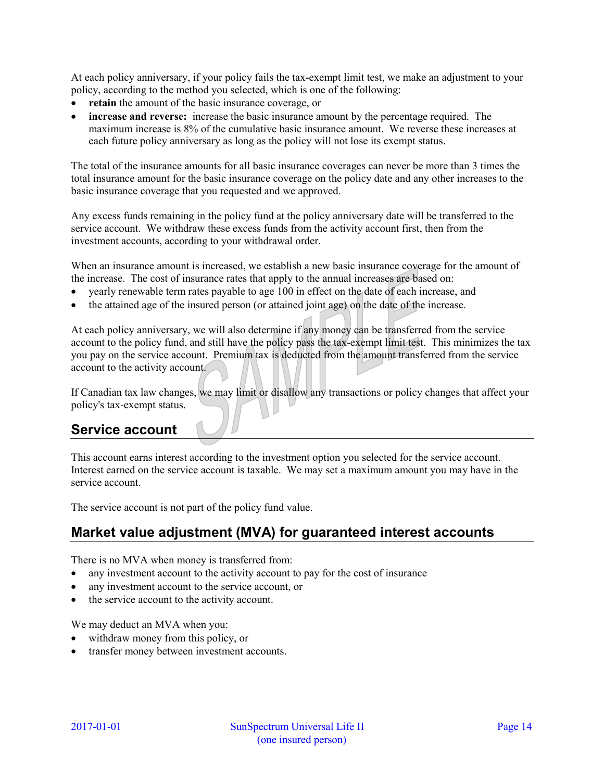At each policy anniversary, if your policy fails the tax-exempt limit test, we make an adjustment to your policy, according to the method you selected, which is one of the following:

- **retain** the amount of the basic insurance coverage, or
- **increase and reverse:** increase the basic insurance amount by the percentage required. The maximum increase is 8% of the cumulative basic insurance amount. We reverse these increases at each future policy anniversary as long as the policy will not lose its exempt status.

The total of the insurance amounts for all basic insurance coverages can never be more than 3 times the total insurance amount for the basic insurance coverage on the policy date and any other increases to the basic insurance coverage that you requested and we approved.

Any excess funds remaining in the policy fund at the policy anniversary date will be transferred to the service account. We withdraw these excess funds from the activity account first, then from the investment accounts, according to your withdrawal order.

When an insurance amount is increased, we establish a new basic insurance coverage for the amount of the increase. The cost of insurance rates that apply to the annual increases are based on:

- yearly renewable term rates payable to age 100 in effect on the date of each increase, and
- the attained age of the insured person (or attained joint age) on the date of the increase.

At each policy anniversary, we will also determine if any money can be transferred from the service account to the policy fund, and still have the policy pass the tax-exempt limit test. This minimizes the tax you pay on the service account. Premium tax is deducted from the amount transferred from the service account to the activity account.

If Canadian tax law changes, we may limit or disallow any transactions or policy changes that affect your policy's tax-exempt status.

# <span id="page-13-0"></span>**Service account**

This account earns interest according to the investment option you selected for the service account. Interest earned on the service account is taxable. We may set a maximum amount you may have in the service account.

The service account is not part of the policy fund value.

# <span id="page-13-1"></span>**Market value adjustment (MVA) for guaranteed interest accounts**

There is no MVA when money is transferred from:

- any investment account to the activity account to pay for the cost of insurance
- any investment account to the service account, or
- the service account to the activity account.

We may deduct an MVA when you:

- withdraw money from this policy, or
- transfer money between investment accounts.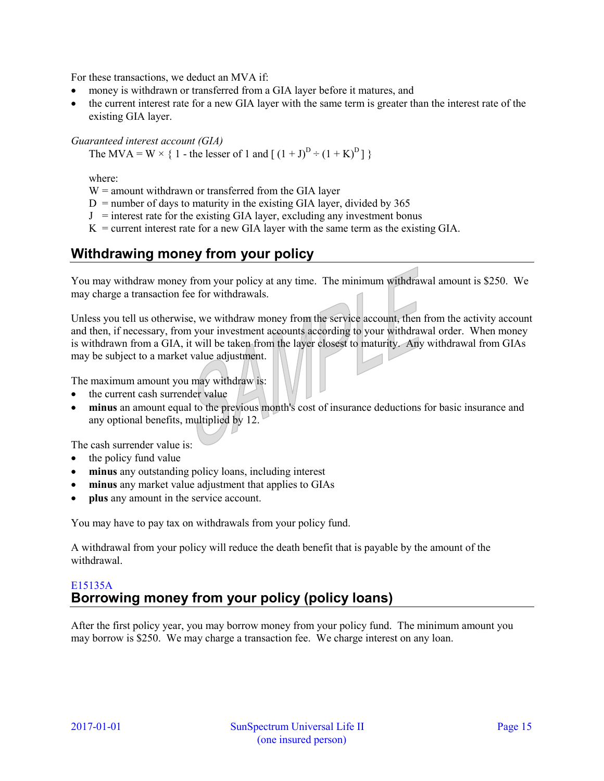For these transactions, we deduct an MVA if:

- money is withdrawn or transferred from a GIA layer before it matures, and
- the current interest rate for a new GIA layer with the same term is greater than the interest rate of the existing GIA layer.

#### *Guaranteed interest account (GIA)*

The MVA = W  $\times$  { 1 - the lesser of 1 and  $[(1+J)^D \div (1+K)^D]$  }

where:

 $W =$  amount withdrawn or transferred from the GIA layer

 $D =$  number of days to maturity in the existing GIA layer, divided by 365

 $J =$  interest rate for the existing GIA layer, excluding any investment bonus

 $K =$  current interest rate for a new GIA layer with the same term as the existing GIA.

# <span id="page-14-0"></span>**Withdrawing money from your policy**

You may withdraw money from your policy at any time. The minimum withdrawal amount is \$250. We may charge a transaction fee for withdrawals.

Unless you tell us otherwise, we withdraw money from the service account, then from the activity account and then, if necessary, from your investment accounts according to your withdrawal order. When money is withdrawn from a GIA, it will be taken from the layer closest to maturity. Any withdrawal from GIAs may be subject to a market value adjustment.

The maximum amount you may withdraw is:

- the current cash surrender value
- **minus** an amount equal to the previous month's cost of insurance deductions for basic insurance and any optional benefits, multiplied by 12.

The cash surrender value is:

- the policy fund value
- **minus** any outstanding policy loans, including interest
- **minus** any market value adjustment that applies to GIAs
- **plus** any amount in the service account.

You may have to pay tax on withdrawals from your policy fund.

A withdrawal from your policy will reduce the death benefit that is payable by the amount of the withdrawal.

## <span id="page-14-1"></span>E15135A **Borrowing money from your policy (policy loans)**

After the first policy year, you may borrow money from your policy fund. The minimum amount you may borrow is \$250. We may charge a transaction fee. We charge interest on any loan.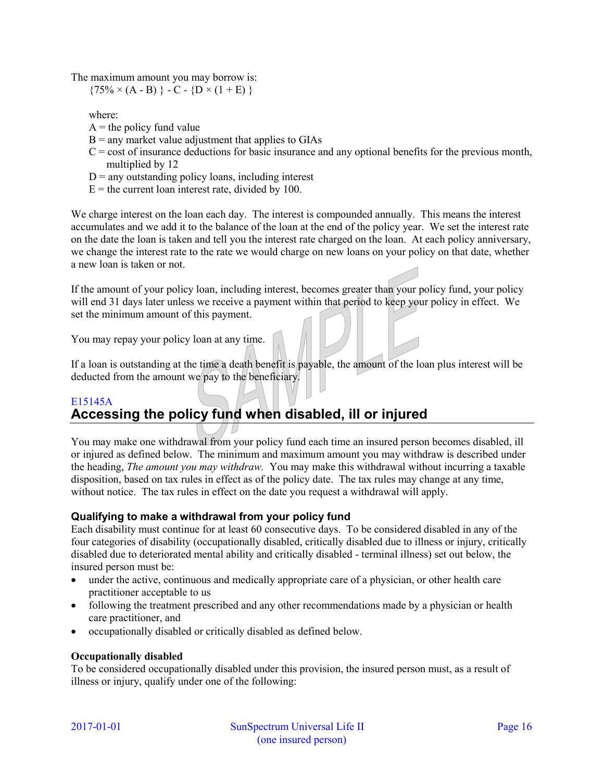The maximum amount you may borrow is:

 ${75\% \times (A - B)} - C - {D \times (1 + E)}$ 

where:

- $A =$  the policy fund value
- $B =$  any market value adjustment that applies to GIAs
- $C = \text{cost of insurance deductions}$  for basic insurance and any optional benefits for the previous month, multiplied by 12
- $D =$  any outstanding policy loans, including interest
- $E =$  the current loan interest rate, divided by 100.

We charge interest on the loan each day. The interest is compounded annually. This means the interest accumulates and we add it to the balance of the loan at the end of the policy year. We set the interest rate on the date the loan is taken and tell you the interest rate charged on the loan. At each policy anniversary, we change the interest rate to the rate we would charge on new loans on your policy on that date, whether a new loan is taken or not.

If the amount of your policy loan, including interest, becomes greater than your policy fund, your policy will end 31 days later unless we receive a payment within that period to keep your policy in effect. We set the minimum amount of this payment.

You may repay your policy loan at any time.

If a loan is outstanding at the time a death benefit is payable, the amount of the loan plus interest will be deducted from the amount we pay to the beneficiary.

# <span id="page-15-0"></span>E15145A **Accessing the policy fund when disabled, ill or injured**

You may make one withdrawal from your policy fund each time an insured person becomes disabled, ill or injured as defined below. The minimum and maximum amount you may withdraw is described under the heading, *The amount you may withdraw.* You may make this withdrawal without incurring a taxable disposition, based on tax rules in effect as of the policy date. The tax rules may change at any time, without notice. The tax rules in effect on the date you request a withdrawal will apply.

## **Qualifying to make a withdrawal from your policy fund**

Each disability must continue for at least 60 consecutive days. To be considered disabled in any of the four categories of disability (occupationally disabled, critically disabled due to illness or injury, critically disabled due to deteriorated mental ability and critically disabled - terminal illness) set out below, the insured person must be:

- under the active, continuous and medically appropriate care of a physician, or other health care practitioner acceptable to us
- following the treatment prescribed and any other recommendations made by a physician or health care practitioner, and
- occupationally disabled or critically disabled as defined below.

### **Occupationally disabled**

To be considered occupationally disabled under this provision, the insured person must, as a result of illness or injury, qualify under one of the following: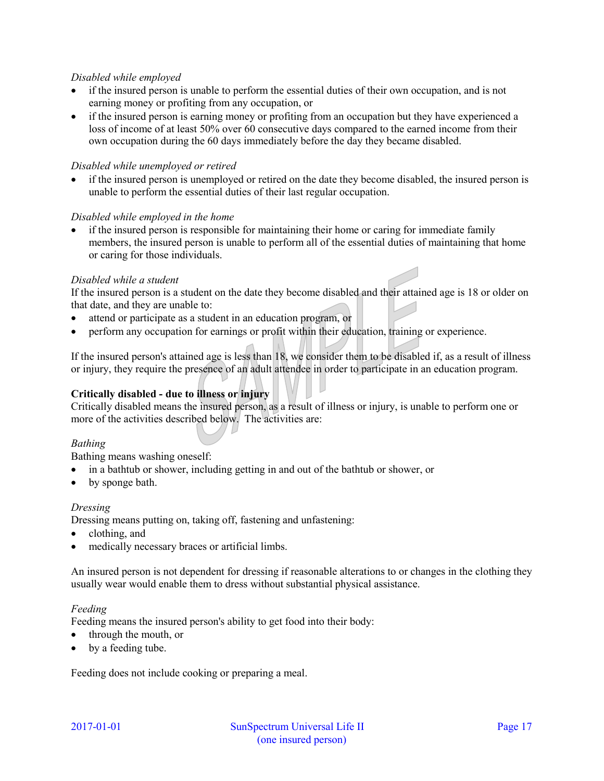### *Disabled while employed*

- if the insured person is unable to perform the essential duties of their own occupation, and is not earning money or profiting from any occupation, or
- if the insured person is earning money or profiting from an occupation but they have experienced a loss of income of at least 50% over 60 consecutive days compared to the earned income from their own occupation during the 60 days immediately before the day they became disabled.

### *Disabled while unemployed or retired*

 if the insured person is unemployed or retired on the date they become disabled, the insured person is unable to perform the essential duties of their last regular occupation.

### *Disabled while employed in the home*

 if the insured person is responsible for maintaining their home or caring for immediate family members, the insured person is unable to perform all of the essential duties of maintaining that home or caring for those individuals.

## *Disabled while a student*

If the insured person is a student on the date they become disabled and their attained age is 18 or older on that date, and they are unable to:

- attend or participate as a student in an education program, or
- perform any occupation for earnings or profit within their education, training or experience.

If the insured person's attained age is less than 18, we consider them to be disabled if, as a result of illness or injury, they require the presence of an adult attendee in order to participate in an education program.

## **Critically disabled - due to illness or injury**

Critically disabled means the insured person, as a result of illness or injury, is unable to perform one or more of the activities described below. The activities are:

## *Bathing*

Bathing means washing oneself:

- in a bathtub or shower, including getting in and out of the bathtub or shower, or
- by sponge bath.

### *Dressing*

Dressing means putting on, taking off, fastening and unfastening:

- clothing, and
- medically necessary braces or artificial limbs.

An insured person is not dependent for dressing if reasonable alterations to or changes in the clothing they usually wear would enable them to dress without substantial physical assistance.

### *Feeding*

Feeding means the insured person's ability to get food into their body:

- through the mouth, or
- by a feeding tube.

Feeding does not include cooking or preparing a meal.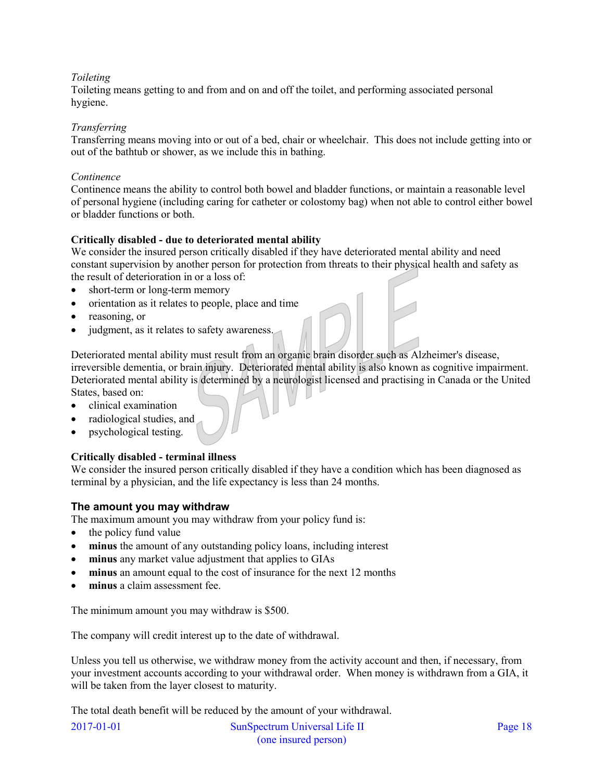## *Toileting*

Toileting means getting to and from and on and off the toilet, and performing associated personal hygiene.

### *Transferring*

Transferring means moving into or out of a bed, chair or wheelchair. This does not include getting into or out of the bathtub or shower, as we include this in bathing.

#### *Continence*

Continence means the ability to control both bowel and bladder functions, or maintain a reasonable level of personal hygiene (including caring for catheter or colostomy bag) when not able to control either bowel or bladder functions or both.

### **Critically disabled - due to deteriorated mental ability**

We consider the insured person critically disabled if they have deteriorated mental ability and need constant supervision by another person for protection from threats to their physical health and safety as the result of deterioration in or a loss of:

- short-term or long-term memory
- orientation as it relates to people, place and time
- reasoning, or
- judgment, as it relates to safety awareness.

Deteriorated mental ability must result from an organic brain disorder such as Alzheimer's disease, irreversible dementia, or brain injury. Deteriorated mental ability is also known as cognitive impairment. Deteriorated mental ability is determined by a neurologist licensed and practising in Canada or the United States, based on:

- clinical examination
- radiological studies, and
- psychological testing.

### **Critically disabled - terminal illness**

We consider the insured person critically disabled if they have a condition which has been diagnosed as terminal by a physician, and the life expectancy is less than 24 months.

### **The amount you may withdraw**

The maximum amount you may withdraw from your policy fund is:

- $\bullet$  the policy fund value
- **minus** the amount of any outstanding policy loans, including interest
- **minus** any market value adjustment that applies to GIAs
- **minus** an amount equal to the cost of insurance for the next 12 months
- **minus** a claim assessment fee.

The minimum amount you may withdraw is \$500.

The company will credit interest up to the date of withdrawal.

Unless you tell us otherwise, we withdraw money from the activity account and then, if necessary, from your investment accounts according to your withdrawal order. When money is withdrawn from a GIA, it will be taken from the layer closest to maturity.

The total death benefit will be reduced by the amount of your withdrawal.

| $2017 - 01 - 01$ | SunSpectrum Universal Life II | Page 18 |
|------------------|-------------------------------|---------|
|                  | (one insured person)          |         |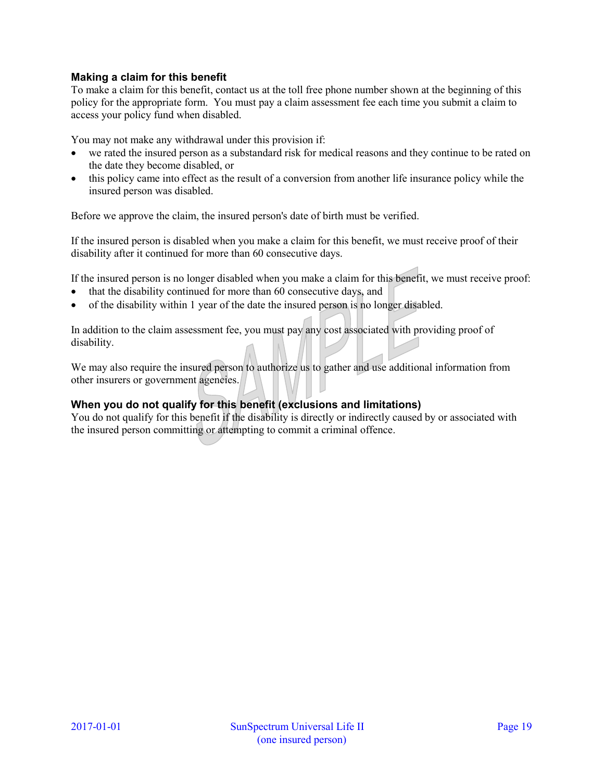## **Making a claim for this benefit**

To make a claim for this benefit, contact us at the toll free phone number shown at the beginning of this policy for the appropriate form. You must pay a claim assessment fee each time you submit a claim to access your policy fund when disabled.

You may not make any withdrawal under this provision if:

- we rated the insured person as a substandard risk for medical reasons and they continue to be rated on the date they become disabled, or
- this policy came into effect as the result of a conversion from another life insurance policy while the insured person was disabled.

Before we approve the claim, the insured person's date of birth must be verified.

If the insured person is disabled when you make a claim for this benefit, we must receive proof of their disability after it continued for more than 60 consecutive days.

If the insured person is no longer disabled when you make a claim for this benefit, we must receive proof:

- that the disability continued for more than 60 consecutive days, and
- of the disability within 1 year of the date the insured person is no longer disabled.

In addition to the claim assessment fee, you must pay any cost associated with providing proof of disability.

We may also require the insured person to authorize us to gather and use additional information from other insurers or government agencies.

## **When you do not qualify for this benefit (exclusions and limitations)**

You do not qualify for this benefit if the disability is directly or indirectly caused by or associated with the insured person committing or attempting to commit a criminal offence.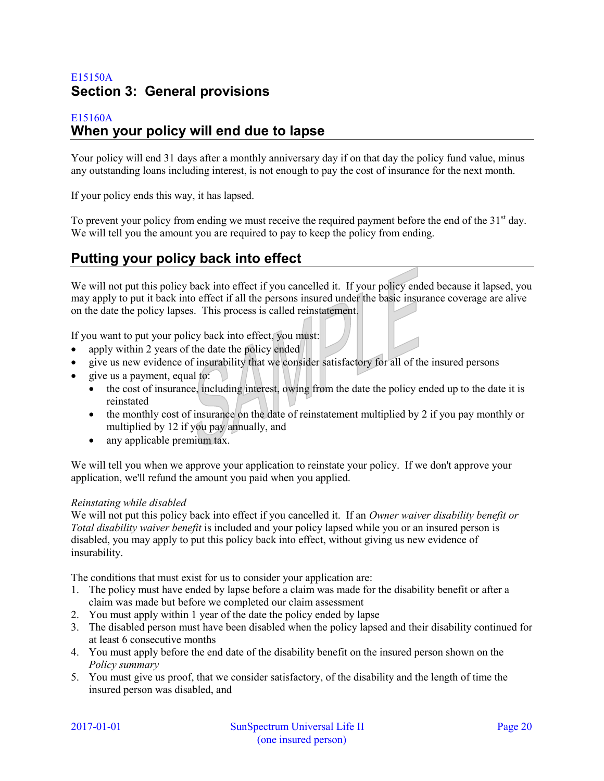# <span id="page-19-0"></span>E15150A **Section 3: General provisions**

## <span id="page-19-1"></span>E15160A **When your policy will end due to lapse**

Your policy will end 31 days after a monthly anniversary day if on that day the policy fund value, minus any outstanding loans including interest, is not enough to pay the cost of insurance for the next month.

If your policy ends this way, it has lapsed.

To prevent your policy from ending we must receive the required payment before the end of the  $31<sup>st</sup>$  day. We will tell you the amount you are required to pay to keep the policy from ending.

# <span id="page-19-2"></span>**Putting your policy back into effect**

We will not put this policy back into effect if you cancelled it. If your policy ended because it lapsed, you may apply to put it back into effect if all the persons insured under the basic insurance coverage are alive on the date the policy lapses. This process is called reinstatement.

If you want to put your policy back into effect, you must:

- apply within 2 years of the date the policy ended
- give us new evidence of insurability that we consider satisfactory for all of the insured persons
- give us a payment, equal to:
	- the cost of insurance, including interest, owing from the date the policy ended up to the date it is reinstated
	- $\bullet$  the monthly cost of insurance on the date of reinstatement multiplied by 2 if you pay monthly or multiplied by 12 if you pay annually, and
	- any applicable premium tax.

We will tell you when we approve your application to reinstate your policy. If we don't approve your application, we'll refund the amount you paid when you applied.

### *Reinstating while disabled*

We will not put this policy back into effect if you cancelled it. If an *Owner waiver disability benefit or Total disability waiver benefit* is included and your policy lapsed while you or an insured person is disabled, you may apply to put this policy back into effect, without giving us new evidence of insurability.

The conditions that must exist for us to consider your application are:

- 1. The policy must have ended by lapse before a claim was made for the disability benefit or after a claim was made but before we completed our claim assessment
- 2. You must apply within 1 year of the date the policy ended by lapse
- 3. The disabled person must have been disabled when the policy lapsed and their disability continued for at least 6 consecutive months
- 4. You must apply before the end date of the disability benefit on the insured person shown on the *Policy summary*
- 5. You must give us proof, that we consider satisfactory, of the disability and the length of time the insured person was disabled, and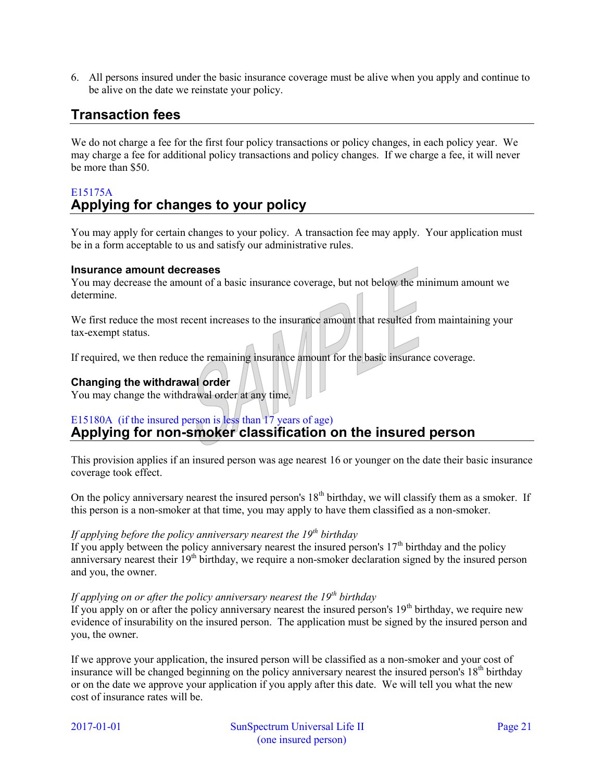6. All persons insured under the basic insurance coverage must be alive when you apply and continue to be alive on the date we reinstate your policy.

# <span id="page-20-0"></span>**Transaction fees**

We do not charge a fee for the first four policy transactions or policy changes, in each policy year. We may charge a fee for additional policy transactions and policy changes. If we charge a fee, it will never be more than \$50.

# <span id="page-20-1"></span>E15175A **Applying for changes to your policy**

You may apply for certain changes to your policy. A transaction fee may apply. Your application must be in a form acceptable to us and satisfy our administrative rules.

### **Insurance amount decreases**

You may decrease the amount of a basic insurance coverage, but not below the minimum amount we determine.

We first reduce the most recent increases to the insurance amount that resulted from maintaining your tax-exempt status.

If required, we then reduce the remaining insurance amount for the basic insurance coverage.

## **Changing the withdrawal order**

You may change the withdrawal order at any time.

## <span id="page-20-2"></span>E15180A (if the insured person is less than 17 years of age) **Applying for non-smoker classification on the insured person**

This provision applies if an insured person was age nearest 16 or younger on the date their basic insurance coverage took effect.

On the policy anniversary nearest the insured person's  $18<sup>th</sup>$  birthday, we will classify them as a smoker. If this person is a non-smoker at that time, you may apply to have them classified as a non-smoker.

## *If applying before the policy anniversary nearest the 19th birthday*

If you apply between the policy anniversary nearest the insured person's  $17<sup>th</sup>$  birthday and the policy anniversary nearest their  $19<sup>th</sup>$  birthday, we require a non-smoker declaration signed by the insured person and you, the owner.

### *If applying on or after the policy anniversary nearest the 19th birthday*

If you apply on or after the policy anniversary nearest the insured person's  $19<sup>th</sup>$  birthday, we require new evidence of insurability on the insured person. The application must be signed by the insured person and you, the owner.

If we approve your application, the insured person will be classified as a non-smoker and your cost of insurance will be changed beginning on the policy anniversary nearest the insured person's 18<sup>th</sup> birthday or on the date we approve your application if you apply after this date. We will tell you what the new cost of insurance rates will be.

2017-01-01 SunSpectrum Universal Life II Page 21 (one insured person)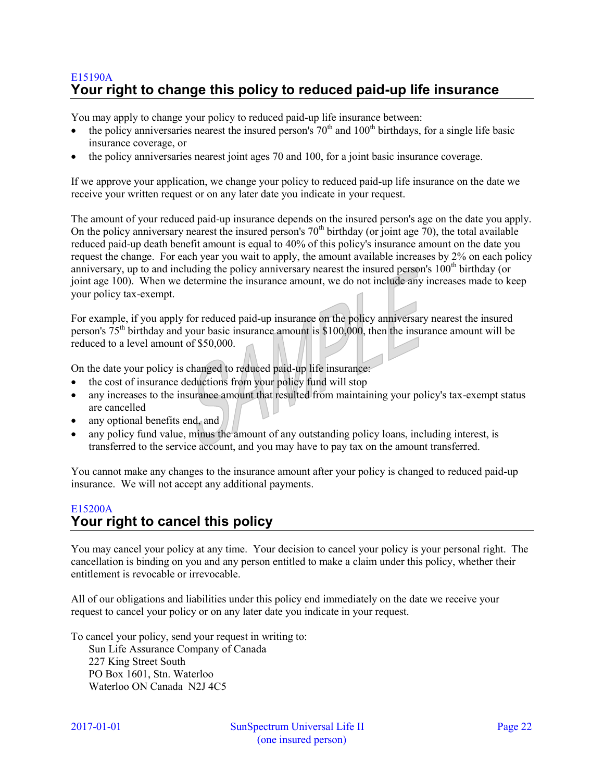# <span id="page-21-0"></span>E15190A **Your right to change this policy to reduced paid-up life insurance**

You may apply to change your policy to reduced paid-up life insurance between:

- the policy anniversaries nearest the insured person's  $70<sup>th</sup>$  and  $100<sup>th</sup>$  birthdays, for a single life basic insurance coverage, or
- the policy anniversaries nearest joint ages 70 and 100, for a joint basic insurance coverage.

If we approve your application, we change your policy to reduced paid-up life insurance on the date we receive your written request or on any later date you indicate in your request.

The amount of your reduced paid-up insurance depends on the insured person's age on the date you apply. On the policy anniversary nearest the insured person's  $70<sup>th</sup>$  birthday (or joint age 70), the total available reduced paid-up death benefit amount is equal to 40% of this policy's insurance amount on the date you request the change. For each year you wait to apply, the amount available increases by 2% on each policy anniversary, up to and including the policy anniversary nearest the insured person's 100<sup>th</sup> birthday (or joint age 100). When we determine the insurance amount, we do not include any increases made to keep your policy tax-exempt.

For example, if you apply for reduced paid-up insurance on the policy anniversary nearest the insured person's 75th birthday and your basic insurance amount is \$100,000, then the insurance amount will be reduced to a level amount of \$50,000.

On the date your policy is changed to reduced paid-up life insurance:

- the cost of insurance deductions from your policy fund will stop
- any increases to the insurance amount that resulted from maintaining your policy's tax-exempt status are cancelled
- any optional benefits end, and
- any policy fund value, minus the amount of any outstanding policy loans, including interest, is transferred to the service account, and you may have to pay tax on the amount transferred.

You cannot make any changes to the insurance amount after your policy is changed to reduced paid-up insurance. We will not accept any additional payments.

## <span id="page-21-1"></span>E15200A **Your right to cancel this policy**

You may cancel your policy at any time. Your decision to cancel your policy is your personal right. The cancellation is binding on you and any person entitled to make a claim under this policy, whether their entitlement is revocable or irrevocable.

All of our obligations and liabilities under this policy end immediately on the date we receive your request to cancel your policy or on any later date you indicate in your request.

To cancel your policy, send your request in writing to:

Sun Life Assurance Company of Canada 227 King Street South PO Box 1601, Stn. Waterloo Waterloo ON Canada N2J 4C5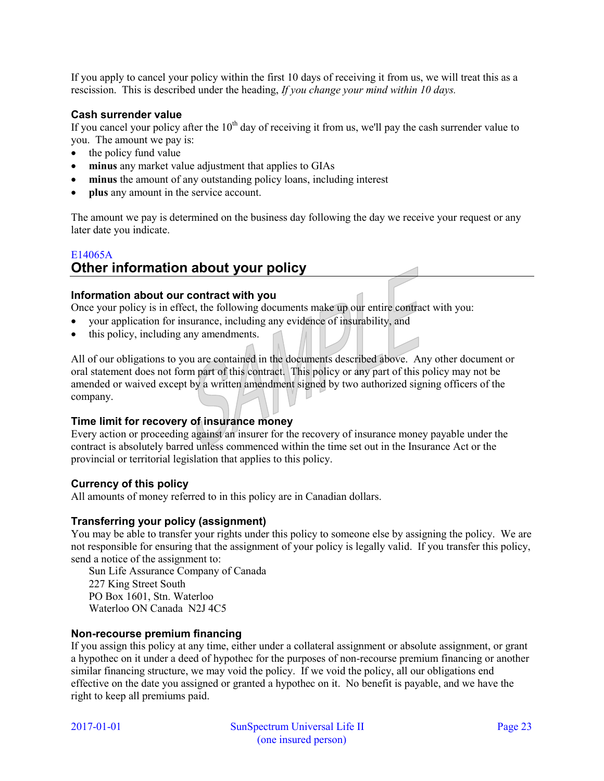If you apply to cancel your policy within the first 10 days of receiving it from us, we will treat this as a rescission. This is described under the heading, *If you change your mind within 10 days.* 

### **Cash surrender value**

If you cancel your policy after the  $10<sup>th</sup>$  day of receiving it from us, we'll pay the cash surrender value to you. The amount we pay is:

- $\bullet$  the policy fund value
- **minus** any market value adjustment that applies to GIAs
- **minus** the amount of any outstanding policy loans, including interest
- **plus** any amount in the service account.

The amount we pay is determined on the business day following the day we receive your request or any later date you indicate.

# <span id="page-22-0"></span>E14065A **Other information about your policy**

## **Information about our contract with you**

Once your policy is in effect, the following documents make up our entire contract with you:

- your application for insurance, including any evidence of insurability, and
- this policy, including any amendments.

All of our obligations to you are contained in the documents described above. Any other document or oral statement does not form part of this contract. This policy or any part of this policy may not be amended or waived except by a written amendment signed by two authorized signing officers of the company.

### **Time limit for recovery of insurance money**

Every action or proceeding against an insurer for the recovery of insurance money payable under the contract is absolutely barred unless commenced within the time set out in the Insurance Act or the provincial or territorial legislation that applies to this policy.

## **Currency of this policy**

All amounts of money referred to in this policy are in Canadian dollars.

### **Transferring your policy (assignment)**

You may be able to transfer your rights under this policy to someone else by assigning the policy. We are not responsible for ensuring that the assignment of your policy is legally valid. If you transfer this policy, send a notice of the assignment to:

Sun Life Assurance Company of Canada 227 King Street South PO Box 1601, Stn. Waterloo Waterloo ON Canada N2J 4C5

### **Non-recourse premium financing**

If you assign this policy at any time, either under a collateral assignment or absolute assignment, or grant a hypothec on it under a deed of hypothec for the purposes of non-recourse premium financing or another similar financing structure, we may void the policy. If we void the policy, all our obligations end effective on the date you assigned or granted a hypothec on it. No benefit is payable, and we have the right to keep all premiums paid.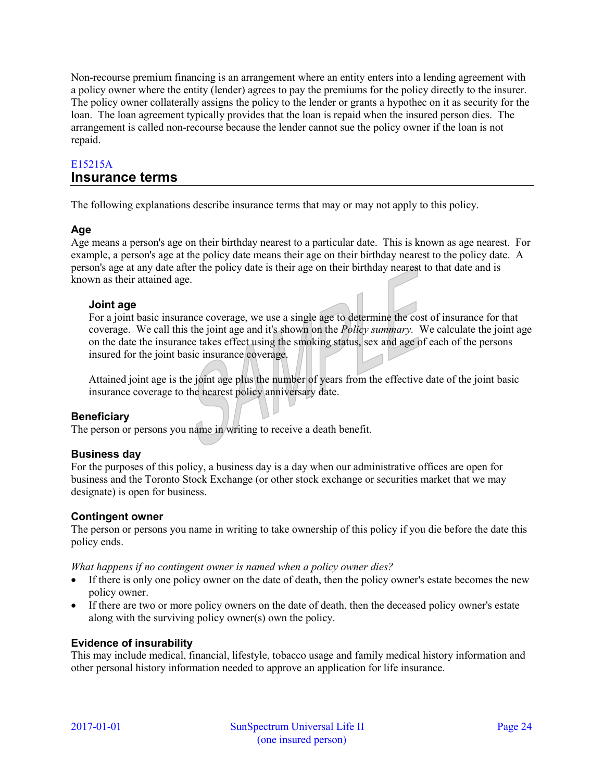Non-recourse premium financing is an arrangement where an entity enters into a lending agreement with a policy owner where the entity (lender) agrees to pay the premiums for the policy directly to the insurer. The policy owner collaterally assigns the policy to the lender or grants a hypothec on it as security for the loan. The loan agreement typically provides that the loan is repaid when the insured person dies. The arrangement is called non-recourse because the lender cannot sue the policy owner if the loan is not repaid.

## <span id="page-23-0"></span>E15215A **Insurance terms**

The following explanations describe insurance terms that may or may not apply to this policy.

## **Age**

Age means a person's age on their birthday nearest to a particular date. This is known as age nearest. For example, a person's age at the policy date means their age on their birthday nearest to the policy date. A person's age at any date after the policy date is their age on their birthday nearest to that date and is known as their attained age.

## **Joint age**

For a joint basic insurance coverage, we use a single age to determine the cost of insurance for that coverage. We call this the joint age and it's shown on the *Policy summary.* We calculate the joint age on the date the insurance takes effect using the smoking status, sex and age of each of the persons insured for the joint basic insurance coverage.

Attained joint age is the joint age plus the number of years from the effective date of the joint basic insurance coverage to the nearest policy anniversary date.

## **Beneficiary**

The person or persons you name in writing to receive a death benefit.

## **Business day**

For the purposes of this policy, a business day is a day when our administrative offices are open for business and the Toronto Stock Exchange (or other stock exchange or securities market that we may designate) is open for business.

## **Contingent owner**

The person or persons you name in writing to take ownership of this policy if you die before the date this policy ends.

*What happens if no contingent owner is named when a policy owner dies?* 

- If there is only one policy owner on the date of death, then the policy owner's estate becomes the new policy owner.
- If there are two or more policy owners on the date of death, then the deceased policy owner's estate along with the surviving policy owner(s) own the policy.

## **Evidence of insurability**

This may include medical, financial, lifestyle, tobacco usage and family medical history information and other personal history information needed to approve an application for life insurance.